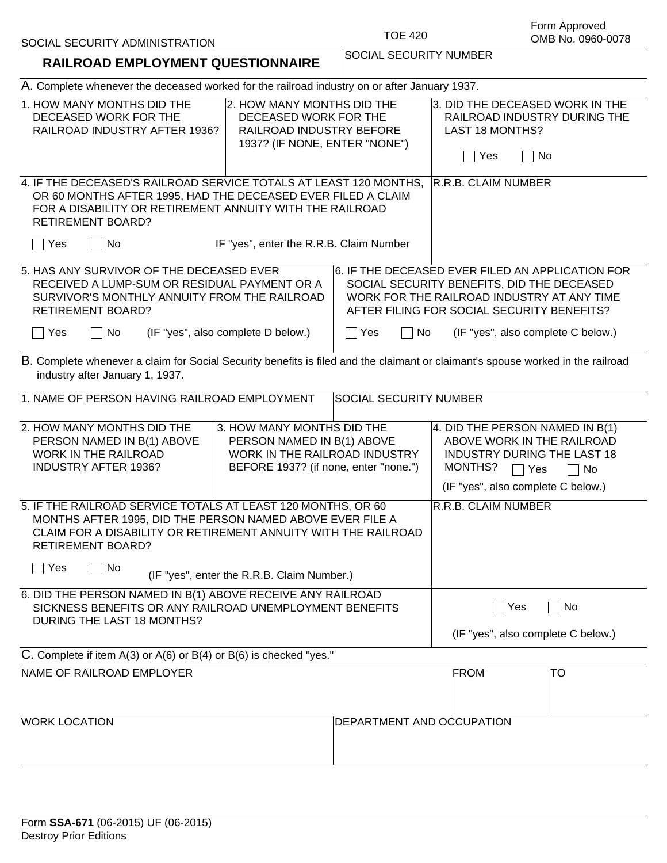| SOCIAL SECURITY ADMINISTRATION |
|--------------------------------|
|--------------------------------|

| <b>RAILROAD EMPLOYMENT QUESTIONNAIRE</b>                                                                                                                                                                                                              | SOCIAL SECURITY NUMBER                                                                                                                                                                     |  |  |
|-------------------------------------------------------------------------------------------------------------------------------------------------------------------------------------------------------------------------------------------------------|--------------------------------------------------------------------------------------------------------------------------------------------------------------------------------------------|--|--|
| A. Complete whenever the deceased worked for the railroad industry on or after January 1937.                                                                                                                                                          |                                                                                                                                                                                            |  |  |
| 1. HOW MANY MONTHS DID THE<br>2. HOW MANY MONTHS DID THE<br>DECEASED WORK FOR THE<br>DECEASED WORK FOR THE<br>RAILROAD INDUSTRY AFTER 1936?<br>RAILROAD INDUSTRY BEFORE<br>1937? (IF NONE, ENTER "NONE")                                              | 3. DID THE DECEASED WORK IN THE<br>RAILROAD INDUSTRY DURING THE<br><b>LAST 18 MONTHS?</b><br>Yes<br>No                                                                                     |  |  |
| 4. IF THE DECEASED'S RAILROAD SERVICE TOTALS AT LEAST 120 MONTHS,<br>OR 60 MONTHS AFTER 1995, HAD THE DECEASED EVER FILED A CLAIM<br>FOR A DISABILITY OR RETIREMENT ANNUITY WITH THE RAILROAD<br><b>RETIREMENT BOARD?</b>                             | R.R.B. CLAIM NUMBER                                                                                                                                                                        |  |  |
| Yes<br>No<br>IF "yes", enter the R.R.B. Claim Number                                                                                                                                                                                                  |                                                                                                                                                                                            |  |  |
| 5. HAS ANY SURVIVOR OF THE DECEASED EVER<br>RECEIVED A LUMP-SUM OR RESIDUAL PAYMENT OR A<br>SURVIVOR'S MONTHLY ANNUITY FROM THE RAILROAD<br><b>RETIREMENT BOARD?</b>                                                                                  | 6. IF THE DECEASED EVER FILED AN APPLICATION FOR<br>SOCIAL SECURITY BENEFITS, DID THE DECEASED<br>WORK FOR THE RAILROAD INDUSTRY AT ANY TIME<br>AFTER FILING FOR SOCIAL SECURITY BENEFITS? |  |  |
| (IF "yes", also complete D below.)<br>Yes<br>No                                                                                                                                                                                                       | $\Box$ Yes<br>(IF "yes", also complete C below.)<br>No                                                                                                                                     |  |  |
| B. Complete whenever a claim for Social Security benefits is filed and the claimant or claimant's spouse worked in the railroad<br>industry after January 1, 1937.                                                                                    |                                                                                                                                                                                            |  |  |
| 1. NAME OF PERSON HAVING RAILROAD EMPLOYMENT                                                                                                                                                                                                          | <b>SOCIAL SECURITY NUMBER</b>                                                                                                                                                              |  |  |
| 2. HOW MANY MONTHS DID THE<br>3. HOW MANY MONTHS DID THE<br>PERSON NAMED IN B(1) ABOVE<br>PERSON NAMED IN B(1) ABOVE<br>WORK IN THE RAILROAD<br>WORK IN THE RAILROAD INDUSTRY<br><b>INDUSTRY AFTER 1936?</b><br>BEFORE 1937? (if none, enter "none.") | 4. DID THE PERSON NAMED IN B(1)<br>ABOVE WORK IN THE RAILROAD<br><b>INDUSTRY DURING THE LAST 18</b><br>MONTHS?<br>$\sqcap$ No<br>  Yes<br>(IF "yes", also complete C below.)               |  |  |
| 5. IF THE RAILROAD SERVICE TOTALS AT LEAST 120 MONTHS, OR 60<br>MONTHS AFTER 1995, DID THE PERSON NAMED ABOVE EVER FILE A<br>CLAIM FOR A DISABILITY OR RETIREMENT ANNUITY WITH THE RAILROAD<br><b>RETIREMENT BOARD?</b>                               | <b>R.R.B. CLAIM NUMBER</b>                                                                                                                                                                 |  |  |
| Yes<br>No<br>(IF "yes", enter the R.R.B. Claim Number.)                                                                                                                                                                                               |                                                                                                                                                                                            |  |  |
| 6. DID THE PERSON NAMED IN B(1) ABOVE RECEIVE ANY RAILROAD<br>SICKNESS BENEFITS OR ANY RAILROAD UNEMPLOYMENT BENEFITS<br>DURING THE LAST 18 MONTHS?                                                                                                   | Yes<br>No                                                                                                                                                                                  |  |  |
|                                                                                                                                                                                                                                                       | (IF "yes", also complete C below.)                                                                                                                                                         |  |  |
| C. Complete if item $A(3)$ or $A(6)$ or $B(4)$ or $B(6)$ is checked "yes."                                                                                                                                                                            |                                                                                                                                                                                            |  |  |
| NAME OF RAILROAD EMPLOYER                                                                                                                                                                                                                             | <b>FROM</b><br>TO                                                                                                                                                                          |  |  |
| <b>WORK LOCATION</b>                                                                                                                                                                                                                                  | DEPARTMENT AND OCCUPATION                                                                                                                                                                  |  |  |